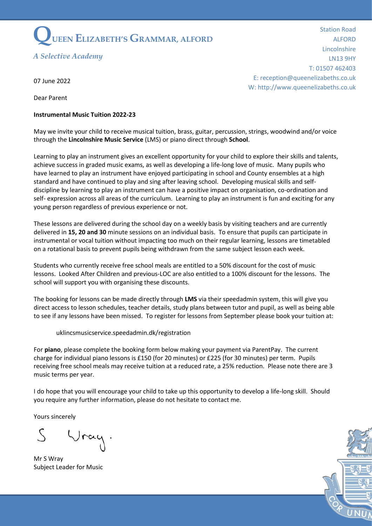

*A Selective Academy*

Station Road ALFORD Lincolnshire LN13 9HY T: 01507 462403 E: reception@queenelizabeths.co.uk W: http://www.queenelizabeths.co.uk

07 June 2022

Dear Parent

## **Instrumental Music Tuition 2022-23**

May we invite your child to receive musical tuition, brass, guitar, percussion, strings, woodwind and/or voice through the **Lincolnshire Music Service** (LMS) or piano direct through **School**.

Learning to play an instrument gives an excellent opportunity for your child to explore their skills and talents, achieve success in graded music exams, as well as developing a life-long love of music. Many pupils who have learned to play an instrument have enjoyed participating in school and County ensembles at a high standard and have continued to play and sing after leaving school. Developing musical skills and selfdiscipline by learning to play an instrument can have a positive impact on organisation, co-ordination and self- expression across all areas of the curriculum. Learning to play an instrument is fun and exciting for any young person regardless of previous experience or not.

These lessons are delivered during the school day on a weekly basis by visiting teachers and are currently delivered in **15, 20 and 30** minute sessions on an individual basis. To ensure that pupils can participate in instrumental or vocal tuition without impacting too much on their regular learning, lessons are timetabled on a rotational basis to prevent pupils being withdrawn from the same subject lesson each week.

Students who currently receive free school meals are entitled to a 50% discount for the cost of music lessons. Looked After Children and previous-LOC are also entitled to a 100% discount for the lessons. The school will support you with organising these discounts.

The booking for lessons can be made directly through **LMS** via their speedadmin system, this will give you direct access to lesson schedules, teacher details, study plans between tutor and pupil, as well as being able to see if any lessons have been missed. To register for lessons from September please book your tuition at:

uklincsmusicservice.speedadmin.dk/registration

For **piano**, please complete the booking form below making your payment via ParentPay. The current charge for individual piano lessons is £150 (for 20 minutes) or £225 (for 30 minutes) per term. Pupils receiving free school meals may receive tuition at a reduced rate, a 25% reduction. Please note there are 3 music terms per year.

I do hope that you will encourage your child to take up this opportunity to develop a life-long skill. Should you require any further information, please do not hesitate to contact me.

Yours sincerely

 $rac{1}{2}$ 

Mr S Wray Subject Leader for Music